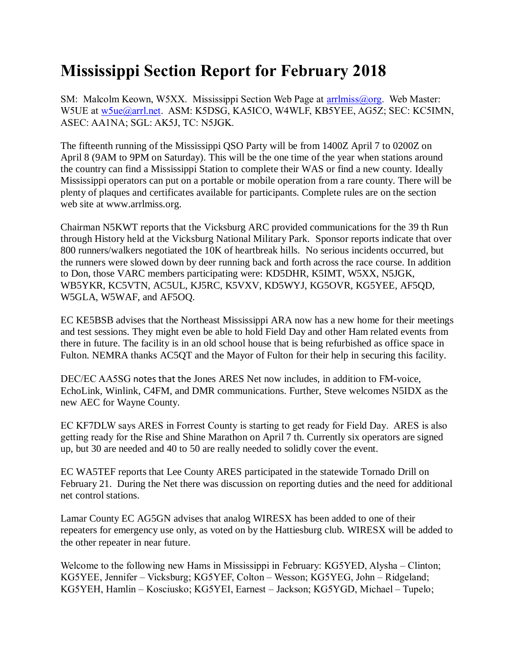## **Mississippi Section Report for February 2018**

SM: Malcolm Keown, W5XX. Mississippi Section Web Page at [arrlmiss@org.](mailto:arrlmiss@org) Web Master: W5UE at [w5ue@arrl.net.](mailto:w5ue@arrl.net) ASM: K5DSG, KA5ICO, W4WLF, KB5YEE, AG5Z; SEC: KC5IMN, ASEC: AA1NA; SGL: AK5J, TC: N5JGK.

The fifteenth running of the Mississippi QSO Party will be from 1400Z April 7 to 0200Z on April 8 (9AM to 9PM on Saturday). This will be the one time of the year when stations around the country can find a Mississippi Station to complete their WAS or find a new county. Ideally Mississippi operators can put on a portable or mobile operation from a rare county. There will be plenty of plaques and certificates available for participants. Complete rules are on the section web site at www.arrlmiss.org.

Chairman N5KWT reports that the Vicksburg ARC provided communications for the 39 th Run through History held at the Vicksburg National Military Park. Sponsor reports indicate that over 800 runners/walkers negotiated the 10K of heartbreak hills. No serious incidents occurred, but the runners were slowed down by deer running back and forth across the race course. In addition to Don, those VARC members participating were: KD5DHR, K5IMT, W5XX, N5JGK, WB5YKR, KC5VTN, AC5UL, KJ5RC, K5VXV, KD5WYJ, KG5OVR, KG5YEE, AF5QD, W5GLA, W5WAF, and AF5OQ.

EC KE5BSB advises that the Northeast Mississippi ARA now has a new home for their meetings and test sessions. They might even be able to hold Field Day and other Ham related events from there in future. The facility is in an old school house that is being refurbished as office space in Fulton. NEMRA thanks AC5QT and the Mayor of Fulton for their help in securing this facility.

DEC/EC AA5SG notes that the Jones ARES Net now includes, in addition to FM-voice, EchoLink, Winlink, C4FM, and DMR communications. Further, Steve welcomes N5IDX as the new AEC for Wayne County.

EC KF7DLW says ARES in Forrest County is starting to get ready for Field Day. ARES is also getting ready for the Rise and Shine Marathon on April 7 th. Currently six operators are signed up, but 30 are needed and 40 to 50 are really needed to solidly cover the event.

EC WA5TEF reports that Lee County ARES participated in the statewide Tornado Drill on February 21. During the Net there was discussion on reporting duties and the need for additional net control stations.

Lamar County EC AG5GN advises that analog WIRESX has been added to one of their repeaters for emergency use only, as voted on by the Hattiesburg club. WIRESX will be added to the other repeater in near future.

Welcome to the following new Hams in Mississippi in February: KG5YED, Alysha – Clinton; KG5YEE, Jennifer – Vicksburg; KG5YEF, Colton – Wesson; KG5YEG, John – Ridgeland; KG5YEH, Hamlin – Kosciusko; KG5YEI, Earnest – Jackson; KG5YGD, Michael – Tupelo;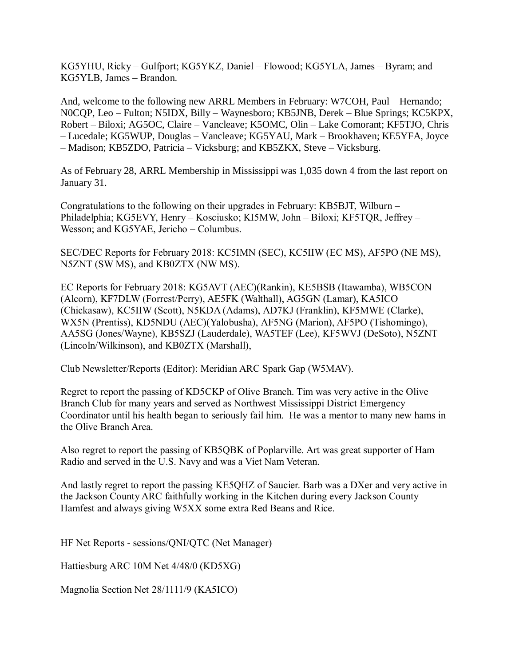KG5YHU, Ricky – Gulfport; KG5YKZ, Daniel – Flowood; KG5YLA, James – Byram; and KG5YLB, James – Brandon.

And, welcome to the following new ARRL Members in February: W7COH, Paul – Hernando; N0CQP, Leo – Fulton; N5IDX, Billy – Waynesboro; KB5JNB, Derek – Blue Springs; KC5KPX, Robert – Biloxi; AG5OC, Claire – Vancleave; K5OMC, Olin – Lake Comorant; KF5TJO, Chris – Lucedale; KG5WUP, Douglas – Vancleave; KG5YAU, Mark – Brookhaven; KE5YFA, Joyce – Madison; KB5ZDO, Patricia – Vicksburg; and KB5ZKX, Steve – Vicksburg.

As of February 28, ARRL Membership in Mississippi was 1,035 down 4 from the last report on January 31.

Congratulations to the following on their upgrades in February: KB5BJT, Wilburn – Philadelphia; KG5EVY, Henry – Kosciusko; KI5MW, John – Biloxi; KF5TQR, Jeffrey – Wesson; and KG5YAE, Jericho – Columbus.

SEC/DEC Reports for February 2018: KC5IMN (SEC), KC5IIW (EC MS), AF5PO (NE MS), N5ZNT (SW MS), and KB0ZTX (NW MS).

EC Reports for February 2018: KG5AVT (AEC)(Rankin), KE5BSB (Itawamba), WB5CON (Alcorn), KF7DLW (Forrest/Perry), AE5FK (Walthall), AG5GN (Lamar), KA5ICO (Chickasaw), KC5IIW (Scott), N5KDA (Adams), AD7KJ (Franklin), KF5MWE (Clarke), WX5N (Prentiss), KD5NDU (AEC)(Yalobusha), AF5NG (Marion), AF5PO (Tishomingo), AA5SG (Jones/Wayne), KB5SZJ (Lauderdale), WA5TEF (Lee), KF5WVJ (DeSoto), N5ZNT (Lincoln/Wilkinson), and KB0ZTX (Marshall),

Club Newsletter/Reports (Editor): Meridian ARC Spark Gap (W5MAV).

Regret to report the passing of KD5CKP of Olive Branch. Tim was very active in the Olive Branch Club for many years and served as Northwest Mississippi District Emergency Coordinator until his health began to seriously fail him. He was a mentor to many new hams in the Olive Branch Area.

Also regret to report the passing of KB5QBK of Poplarville. Art was great supporter of Ham Radio and served in the U.S. Navy and was a Viet Nam Veteran.

And lastly regret to report the passing KE5QHZ of Saucier. Barb was a DXer and very active in the Jackson County ARC faithfully working in the Kitchen during every Jackson County Hamfest and always giving W5XX some extra Red Beans and Rice.

HF Net Reports - sessions/QNI/QTC (Net Manager)

Hattiesburg ARC 10M Net 4/48/0 (KD5XG)

Magnolia Section Net 28/1111/9 (KA5ICO)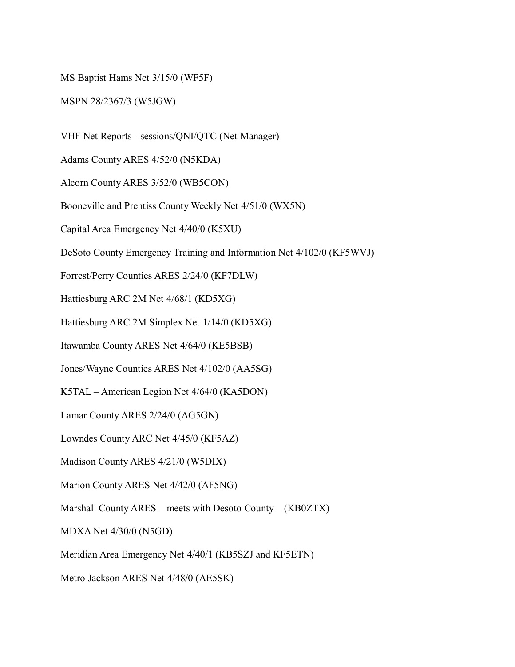MS Baptist Hams Net 3/15/0 (WF5F)

MSPN 28/2367/3 (W5JGW)

VHF Net Reports - sessions/QNI/QTC (Net Manager)

Adams County ARES 4/52/0 (N5KDA)

Alcorn County ARES 3/52/0 (WB5CON)

Booneville and Prentiss County Weekly Net 4/51/0 (WX5N)

Capital Area Emergency Net 4/40/0 (K5XU)

DeSoto County Emergency Training and Information Net 4/102/0 (KF5WVJ)

Forrest/Perry Counties ARES 2/24/0 (KF7DLW)

Hattiesburg ARC 2M Net 4/68/1 (KD5XG)

Hattiesburg ARC 2M Simplex Net 1/14/0 (KD5XG)

Itawamba County ARES Net 4/64/0 (KE5BSB)

Jones/Wayne Counties ARES Net 4/102/0 (AA5SG)

K5TAL – American Legion Net 4/64/0 (KA5DON)

Lamar County ARES 2/24/0 (AG5GN)

Lowndes County ARC Net 4/45/0 (KF5AZ)

Madison County ARES 4/21/0 (W5DIX)

Marion County ARES Net 4/42/0 (AF5NG)

Marshall County ARES – meets with Desoto County – (KB0ZTX)

MDXA Net 4/30/0 (N5GD)

Meridian Area Emergency Net 4/40/1 (KB5SZJ and KF5ETN)

Metro Jackson ARES Net 4/48/0 (AE5SK)